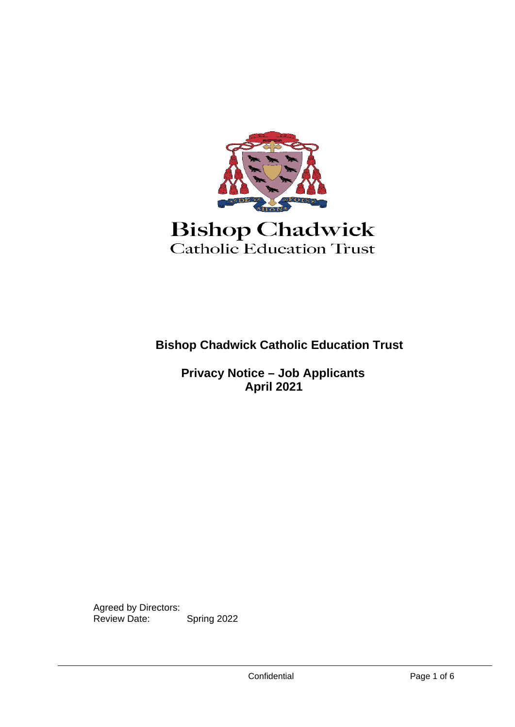

# **Bishop Chadwick** Catholic Education Trust

**Bishop Chadwick Catholic Education Trust**

**Privacy Notice – Job Applicants April 2021**

Agreed by Directors:<br>Review Date: Spring 2022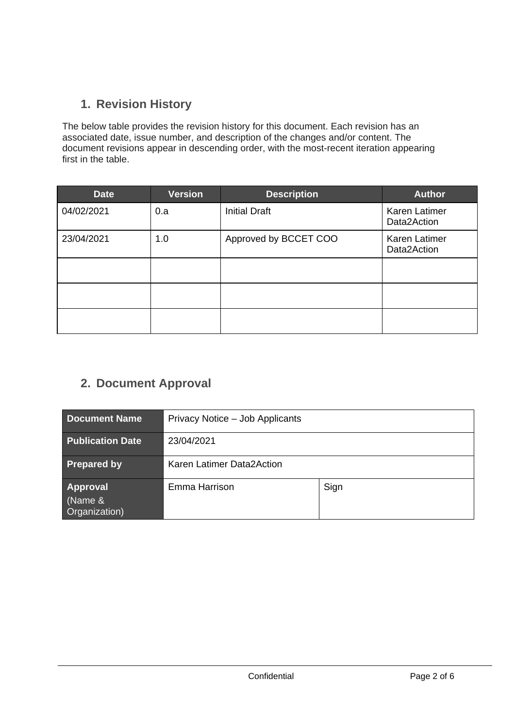# **1. Revision History**

The below table provides the revision history for this document. Each revision has an associated date, issue number, and description of the changes and/or content. The document revisions appear in descending order, with the most-recent iteration appearing first in the table.

| <b>Date</b> | <b>Version</b> | <b>Description</b>    | <b>Author</b>                       |
|-------------|----------------|-----------------------|-------------------------------------|
| 04/02/2021  | 0.a            | <b>Initial Draft</b>  | <b>Karen Latimer</b><br>Data2Action |
| 23/04/2021  | 1.0            | Approved by BCCET COO | <b>Karen Latimer</b><br>Data2Action |
|             |                |                       |                                     |
|             |                |                       |                                     |
|             |                |                       |                                     |

## **2. Document Approval**

| <b>Document Name</b>                        | Privacy Notice – Job Applicants |      |  |
|---------------------------------------------|---------------------------------|------|--|
| <b>Publication Date</b>                     | 23/04/2021                      |      |  |
| <b>Prepared by</b>                          | Karen Latimer Data2Action       |      |  |
| <b>Approval</b><br>(Name &<br>Organization) | Emma Harrison                   | Sign |  |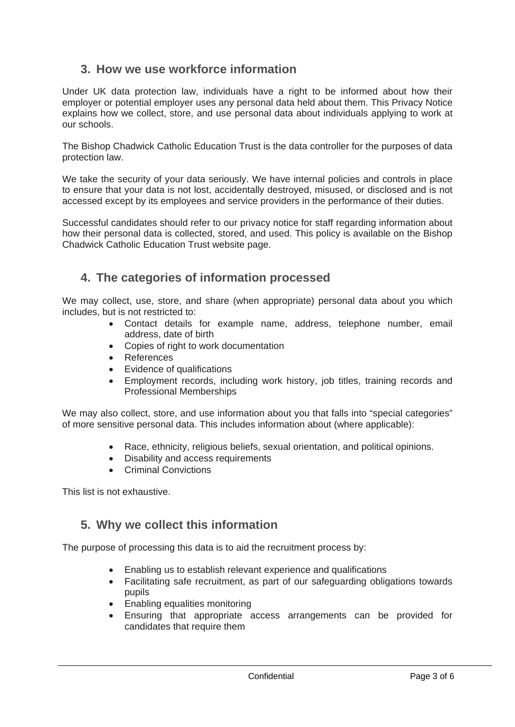## **3. How we use workforce information**

Under UK data protection law, individuals have a right to be informed about how their employer or potential employer uses any personal data held about them. This Privacy Notice explains how we collect, store, and use personal data about individuals applying to work at our schools.

The Bishop Chadwick Catholic Education Trust is the data controller for the purposes of data protection law.

We take the security of your data seriously. We have internal policies and controls in place to ensure that your data is not lost, accidentally destroyed, misused, or disclosed and is not accessed except by its employees and service providers in the performance of their duties.

Successful candidates should refer to our privacy notice for staff regarding information about how their personal data is collected, stored, and used. This policy is available on the Bishop Chadwick Catholic Education Trust website page.

## **4. The categories of information processed**

We may collect, use, store, and share (when appropriate) personal data about you which includes, but is not restricted to:

- Contact details for example name, address, telephone number, email address, date of birth
- Copies of right to work documentation
- References
- Evidence of qualifications
- Employment records, including work history, job titles, training records and Professional Memberships

We may also collect, store, and use information about you that falls into "special categories" of more sensitive personal data. This includes information about (where applicable):

- Race, ethnicity, religious beliefs, sexual orientation, and political opinions.
- Disability and access requirements
- Criminal Convictions

This list is not exhaustive.

## **5. Why we collect this information**

The purpose of processing this data is to aid the recruitment process by:

- Enabling us to establish relevant experience and qualifications
- Facilitating safe recruitment, as part of our safeguarding obligations towards pupils
- Enabling equalities monitoring
- Ensuring that appropriate access arrangements can be provided for candidates that require them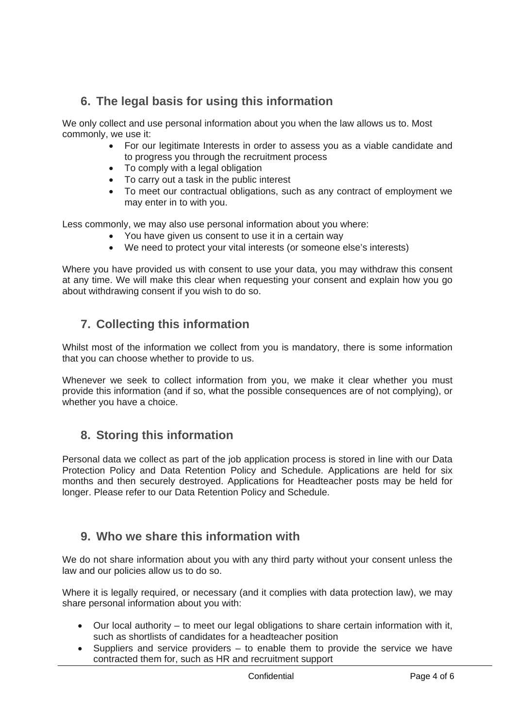# **6. The legal basis for using this information**

We only collect and use personal information about you when the law allows us to. Most commonly, we use it:

- For our legitimate Interests in order to assess you as a viable candidate and to progress you through the recruitment process
- To comply with a legal obligation
- To carry out a task in the public interest
- To meet our contractual obligations, such as any contract of employment we may enter in to with you.

Less commonly, we may also use personal information about you where:

- You have given us consent to use it in a certain way
- We need to protect your vital interests (or someone else's interests)

Where you have provided us with consent to use your data, you may withdraw this consent at any time. We will make this clear when requesting your consent and explain how you go about withdrawing consent if you wish to do so.

## **7. Collecting this information**

Whilst most of the information we collect from you is mandatory, there is some information that you can choose whether to provide to us.

Whenever we seek to collect information from you, we make it clear whether you must provide this information (and if so, what the possible consequences are of not complying), or whether you have a choice.

#### **8. Storing this information**

Personal data we collect as part of the job application process is stored in line with our Data Protection Policy and Data Retention Policy and Schedule. Applications are held for six months and then securely destroyed. Applications for Headteacher posts may be held for longer. Please refer to our Data Retention Policy and Schedule.

#### **9. Who we share this information with**

We do not share information about you with any third party without your consent unless the law and our policies allow us to do so.

Where it is legally required, or necessary (and it complies with data protection law), we may share personal information about you with:

- Our local authority to meet our legal obligations to share certain information with it, such as shortlists of candidates for a headteacher position
- Suppliers and service providers to enable them to provide the service we have contracted them for, such as HR and recruitment support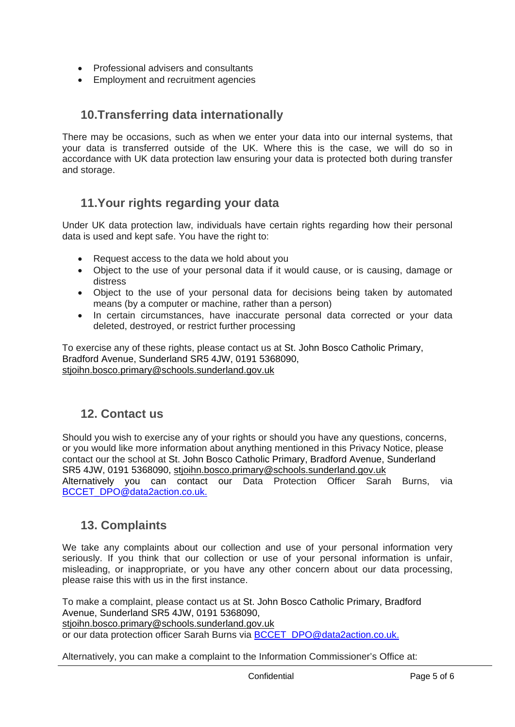- Professional advisers and consultants
- Employment and recruitment agencies

#### **10.Transferring data internationally**

There may be occasions, such as when we enter your data into our internal systems, that your data is transferred outside of the UK. Where this is the case, we will do so in accordance with UK data protection law ensuring your data is protected both during transfer and storage.

## **11.Your rights regarding your data**

Under UK data protection law, individuals have certain rights regarding how their personal data is used and kept safe. You have the right to:

- Request access to the data we hold about you
- Object to the use of your personal data if it would cause, or is causing, damage or distress
- Object to the use of your personal data for decisions being taken by automated means (by a computer or machine, rather than a person)
- In certain circumstances, have inaccurate personal data corrected or your data deleted, destroyed, or restrict further processing

To exercise any of these rights, please contact us at St. John Bosco Catholic Primary, Bradford Avenue, Sunderland SR5 4JW, 0191 5368090, [stjoihn.bosco.primary@schools.sunderland.gov.uk](mailto:stjoihn.bosco.primary@schools.sunderland.gov.uk)

#### **12. Contact us**

Should you wish to exercise any of your rights or should you have any questions, concerns, or you would like more information about anything mentioned in this Privacy Notice, please contact our the school at St. John Bosco Catholic Primary, Bradford Avenue, Sunderland SR5 4JW, 0191 5368090, [stjoihn.bosco.primary@schools.sunderland.gov.uk](mailto:stjoihn.bosco.primary@schools.sunderland.gov.uk) Alternatively you can contact our Data Protection Officer Sarah Burns, via [BCCET\\_DPO@data2action.co.uk.](mailto:BCCET_DPO@data2action.co.uk)

## **13. Complaints**

We take any complaints about our collection and use of your personal information very seriously. If you think that our collection or use of your personal information is unfair, misleading, or inappropriate, or you have any other concern about our data processing, please raise this with us in the first instance.

To make a complaint, please contact us at St. John Bosco Catholic Primary, Bradford Avenue, Sunderland SR5 4JW, 0191 5368090, [stjoihn.bosco.primary@schools.sunderland.gov.uk](mailto:stjoihn.bosco.primary@schools.sunderland.gov.uk) or our data protection officer Sarah Burns via [BCCET\\_DPO@data2action.co.uk.](mailto:BCCET_DPO@data2action.co.uk)

Alternatively, you can make a complaint to the Information Commissioner's Office at: